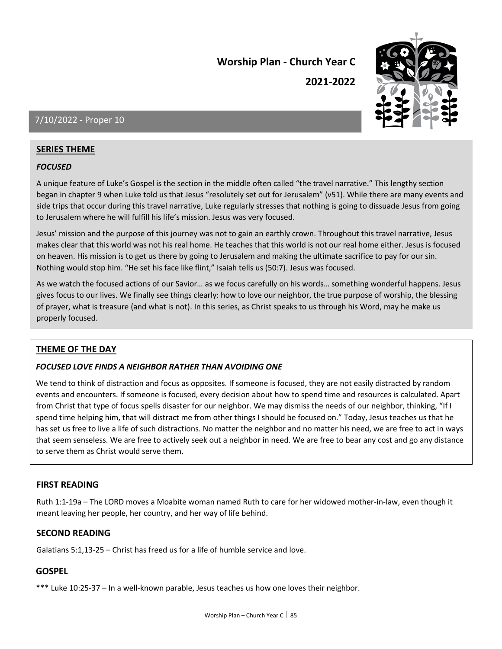**2021-2022**



### 7/10/2022 - Proper 10

#### **SERIES THEME**

#### *FOCUSED*

A unique feature of Luke's Gospel is the section in the middle often called "the travel narrative." This lengthy section began in chapter 9 when Luke told us that Jesus "resolutely set out for Jerusalem" (v51). While there are many events and side trips that occur during this travel narrative, Luke regularly stresses that nothing is going to dissuade Jesus from going to Jerusalem where he will fulfill his life's mission. Jesus was very focused.

Jesus' mission and the purpose of this journey was not to gain an earthly crown. Throughout this travel narrative, Jesus makes clear that this world was not his real home. He teaches that this world is not our real home either. Jesus is focused on heaven. His mission is to get us there by going to Jerusalem and making the ultimate sacrifice to pay for our sin. Nothing would stop him. "He set his face like flint," Isaiah tells us (50:7). Jesus was focused.

As we watch the focused actions of our Savior… as we focus carefully on his words… something wonderful happens. Jesus gives focus to our lives. We finally see things clearly: how to love our neighbor, the true purpose of worship, the blessing of prayer, what is treasure (and what is not). In this series, as Christ speaks to us through his Word, may he make us properly focused.

#### **THEME OF THE DAY**

#### *FOCUSED LOVE FINDS A NEIGHBOR RATHER THAN AVOIDING ONE*

We tend to think of distraction and focus as opposites. If someone is focused, they are not easily distracted by random events and encounters. If someone is focused, every decision about how to spend time and resources is calculated. Apart from Christ that type of focus spells disaster for our neighbor. We may dismiss the needs of our neighbor, thinking, "If I spend time helping him, that will distract me from other things I should be focused on." Today, Jesus teaches us that he has set us free to live a life of such distractions. No matter the neighbor and no matter his need, we are free to act in ways that seem senseless. We are free to actively seek out a neighbor in need. We are free to bear any cost and go any distance to serve them as Christ would serve them.

#### **FIRST READING**

Ruth 1:1-19a – The LORD moves a Moabite woman named Ruth to care for her widowed mother-in-law, even though it meant leaving her people, her country, and her way of life behind.

#### **SECOND READING**

Galatians 5:1,13-25 – Christ has freed us for a life of humble service and love.

#### **GOSPEL**

\*\*\* Luke 10:25-37 – In a well-known parable, Jesus teaches us how one loves their neighbor.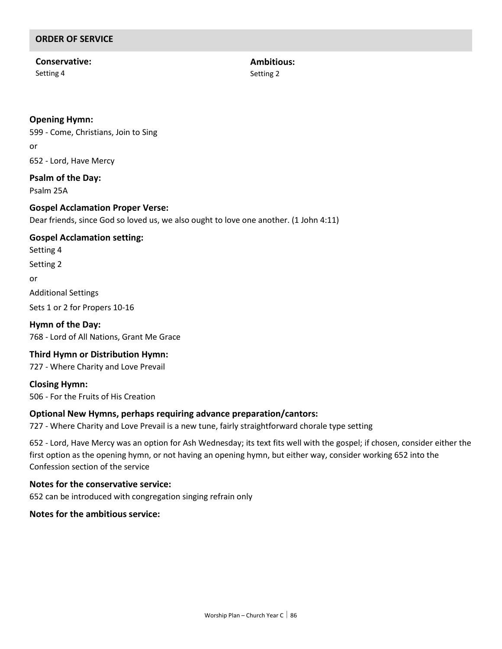### **Conservative:**

Setting 4

**Ambitious:** Setting 2

#### **Opening Hymn:**

599 - Come, Christians, Join to Sing or 652 - Lord, Have Mercy

#### **Psalm of the Day:**

Psalm 25A

#### **Gospel Acclamation Proper Verse:**

Dear friends, since God so loved us, we also ought to love one another. (1 John 4:11)

#### **Gospel Acclamation setting:**

Setting 4 Setting 2 or Additional Settings

Sets 1 or 2 for Propers 10-16

**Hymn of the Day:** 768 - Lord of All Nations, Grant Me Grace

#### **Third Hymn or Distribution Hymn:**

727 - Where Charity and Love Prevail

**Closing Hymn:** 506 - For the Fruits of His Creation

#### **Optional New Hymns, perhaps requiring advance preparation/cantors:**

727 - Where Charity and Love Prevail is a new tune, fairly straightforward chorale type setting

652 - Lord, Have Mercy was an option for Ash Wednesday; its text fits well with the gospel; if chosen, consider either the first option as the opening hymn, or not having an opening hymn, but either way, consider working 652 into the Confession section of the service

### **Notes for the conservative service:**

652 can be introduced with congregation singing refrain only

#### **Notes for the ambitious service:**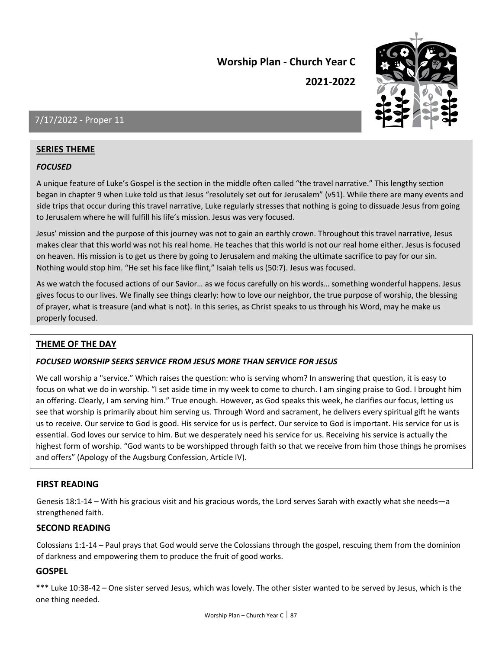**2021-2022**



### 7/17/2022 - Proper 11

#### **SERIES THEME**

#### *FOCUSED*

A unique feature of Luke's Gospel is the section in the middle often called "the travel narrative." This lengthy section began in chapter 9 when Luke told us that Jesus "resolutely set out for Jerusalem" (v51). While there are many events and side trips that occur during this travel narrative, Luke regularly stresses that nothing is going to dissuade Jesus from going to Jerusalem where he will fulfill his life's mission. Jesus was very focused.

Jesus' mission and the purpose of this journey was not to gain an earthly crown. Throughout this travel narrative, Jesus makes clear that this world was not his real home. He teaches that this world is not our real home either. Jesus is focused on heaven. His mission is to get us there by going to Jerusalem and making the ultimate sacrifice to pay for our sin. Nothing would stop him. "He set his face like flint," Isaiah tells us (50:7). Jesus was focused.

As we watch the focused actions of our Savior… as we focus carefully on his words… something wonderful happens. Jesus gives focus to our lives. We finally see things clearly: how to love our neighbor, the true purpose of worship, the blessing of prayer, what is treasure (and what is not). In this series, as Christ speaks to us through his Word, may he make us properly focused.

#### **THEME OF THE DAY**

#### *FOCUSED WORSHIP SEEKS SERVICE FROM JESUS MORE THAN SERVICE FOR JESUS*

We call worship a "service." Which raises the question: who is serving whom? In answering that question, it is easy to focus on what we do in worship. "I set aside time in my week to come to church. I am singing praise to God. I brought him an offering. Clearly, I am serving him." True enough. However, as God speaks this week, he clarifies our focus, letting us see that worship is primarily about him serving us. Through Word and sacrament, he delivers every spiritual gift he wants us to receive. Our service to God is good. His service for us is perfect. Our service to God is important. His service for us is essential. God loves our service to him. But we desperately need his service for us. Receiving his service is actually the highest form of worship. "God wants to be worshipped through faith so that we receive from him those things he promises and offers" (Apology of the Augsburg Confession, Article IV).

#### **FIRST READING**

Genesis 18:1-14 – With his gracious visit and his gracious words, the Lord serves Sarah with exactly what she needs—a strengthened faith.

#### **SECOND READING**

Colossians 1:1-14 – Paul prays that God would serve the Colossians through the gospel, rescuing them from the dominion of darkness and empowering them to produce the fruit of good works.

#### **GOSPEL**

\*\*\* Luke 10:38-42 – One sister served Jesus, which was lovely. The other sister wanted to be served by Jesus, which is the one thing needed.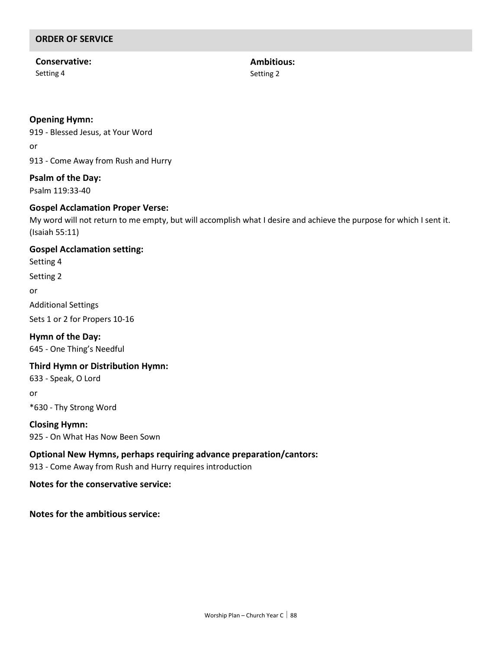#### **Conservative:** Setting 4

**Ambitious:** Setting 2

#### **Opening Hymn:**

919 - Blessed Jesus, at Your Word or 913 - Come Away from Rush and Hurry

### **Psalm of the Day:**

Psalm 119:33-40

#### **Gospel Acclamation Proper Verse:**

My word will not return to me empty, but will accomplish what I desire and achieve the purpose for which I sent it. (Isaiah 55:11)

#### **Gospel Acclamation setting:**

Setting 4

Setting 2

or

Additional Settings

Sets 1 or 2 for Propers 10-16

**Hymn of the Day:** 645 - One Thing's Needful

#### **Third Hymn or Distribution Hymn:**

633 - Speak, O Lord

or

\*630 - Thy Strong Word

**Closing Hymn:** 925 - On What Has Now Been Sown

#### **Optional New Hymns, perhaps requiring advance preparation/cantors:**

913 - Come Away from Rush and Hurry requires introduction

#### **Notes for the conservative service:**

**Notes for the ambitious service:**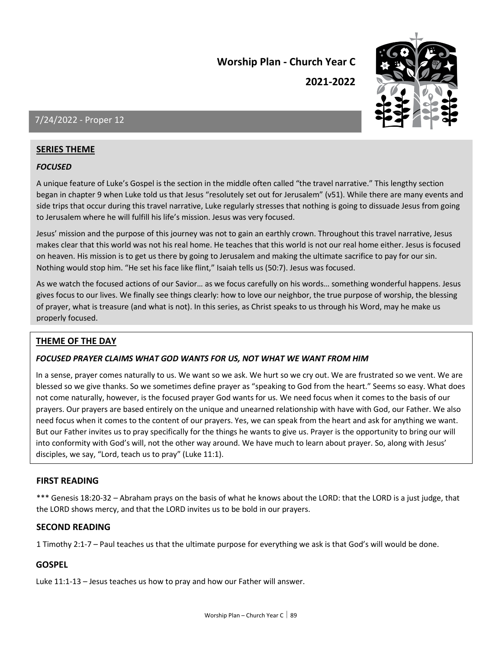**2021-2022**



### 7/24/2022 - Proper 12

#### **SERIES THEME**

#### *FOCUSED*

A unique feature of Luke's Gospel is the section in the middle often called "the travel narrative." This lengthy section began in chapter 9 when Luke told us that Jesus "resolutely set out for Jerusalem" (v51). While there are many events and side trips that occur during this travel narrative, Luke regularly stresses that nothing is going to dissuade Jesus from going to Jerusalem where he will fulfill his life's mission. Jesus was very focused.

Jesus' mission and the purpose of this journey was not to gain an earthly crown. Throughout this travel narrative, Jesus makes clear that this world was not his real home. He teaches that this world is not our real home either. Jesus is focused on heaven. His mission is to get us there by going to Jerusalem and making the ultimate sacrifice to pay for our sin. Nothing would stop him. "He set his face like flint," Isaiah tells us (50:7). Jesus was focused.

As we watch the focused actions of our Savior… as we focus carefully on his words… something wonderful happens. Jesus gives focus to our lives. We finally see things clearly: how to love our neighbor, the true purpose of worship, the blessing of prayer, what is treasure (and what is not). In this series, as Christ speaks to us through his Word, may he make us properly focused.

#### **THEME OF THE DAY**

#### *FOCUSED PRAYER CLAIMS WHAT GOD WANTS FOR US, NOT WHAT WE WANT FROM HIM*

In a sense, prayer comes naturally to us. We want so we ask. We hurt so we cry out. We are frustrated so we vent. We are blessed so we give thanks. So we sometimes define prayer as "speaking to God from the heart." Seems so easy. What does not come naturally, however, is the focused prayer God wants for us. We need focus when it comes to the basis of our prayers. Our prayers are based entirely on the unique and unearned relationship with have with God, our Father. We also need focus when it comes to the content of our prayers. Yes, we can speak from the heart and ask for anything we want. But our Father invites us to pray specifically for the things he wants to give us. Prayer is the opportunity to bring our will into conformity with God's will, not the other way around. We have much to learn about prayer. So, along with Jesus' disciples, we say, "Lord, teach us to pray" (Luke 11:1).

#### **FIRST READING**

\*\*\* Genesis 18:20-32 – Abraham prays on the basis of what he knows about the LORD: that the LORD is a just judge, that the LORD shows mercy, and that the LORD invites us to be bold in our prayers.

#### **SECOND READING**

1 Timothy 2:1-7 – Paul teaches us that the ultimate purpose for everything we ask is that God's will would be done.

#### **GOSPEL**

Luke 11:1-13 – Jesus teaches us how to pray and how our Father will answer.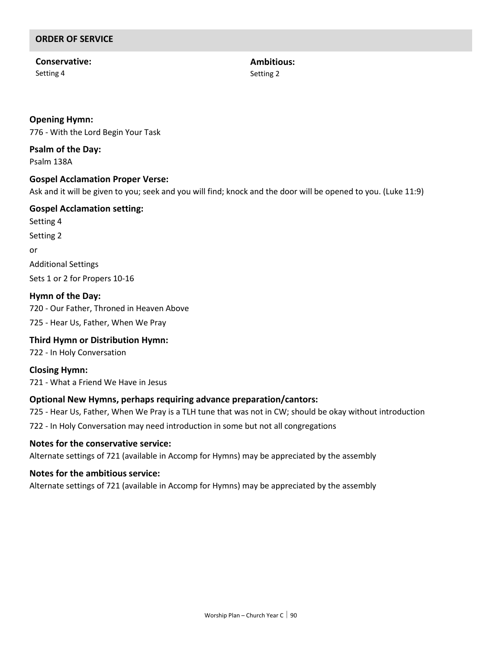**Conservative:** Setting 4

**Ambitious:** Setting 2

#### **Opening Hymn:**

776 - With the Lord Begin Your Task

**Psalm of the Day:** Psalm 138A

#### **Gospel Acclamation Proper Verse:**

Ask and it will be given to you; seek and you will find; knock and the door will be opened to you. (Luke 11:9)

### **Gospel Acclamation setting:**

Setting 4 Setting 2 or Additional Settings Sets 1 or 2 for Propers 10-16

**Hymn of the Day:** 720 - Our Father, Throned in Heaven Above

725 - Hear Us, Father, When We Pray

### **Third Hymn or Distribution Hymn:**

722 - In Holy Conversation

**Closing Hymn:** 721 - What a Friend We Have in Jesus

#### **Optional New Hymns, perhaps requiring advance preparation/cantors:**

725 - Hear Us, Father, When We Pray is a TLH tune that was not in CW; should be okay without introduction

722 - In Holy Conversation may need introduction in some but not all congregations

#### **Notes for the conservative service:**

Alternate settings of 721 (available in Accomp for Hymns) may be appreciated by the assembly

#### **Notes for the ambitious service:**

Alternate settings of 721 (available in Accomp for Hymns) may be appreciated by the assembly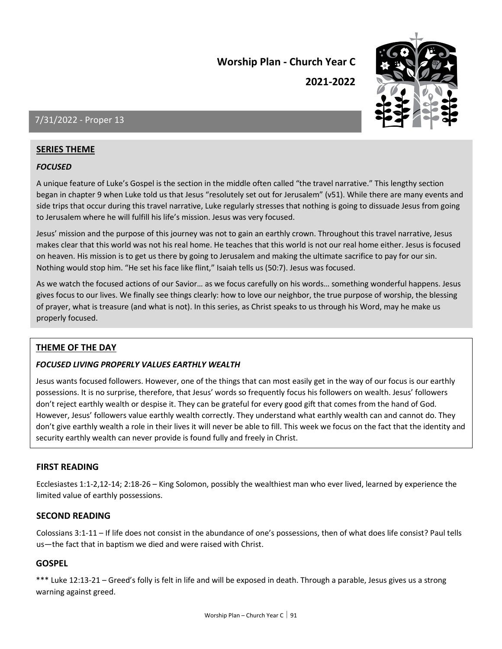**2021-2022**



### 7/31/2022 - Proper 13

#### **SERIES THEME**

#### *FOCUSED*

A unique feature of Luke's Gospel is the section in the middle often called "the travel narrative." This lengthy section began in chapter 9 when Luke told us that Jesus "resolutely set out for Jerusalem" (v51). While there are many events and side trips that occur during this travel narrative, Luke regularly stresses that nothing is going to dissuade Jesus from going to Jerusalem where he will fulfill his life's mission. Jesus was very focused.

Jesus' mission and the purpose of this journey was not to gain an earthly crown. Throughout this travel narrative, Jesus makes clear that this world was not his real home. He teaches that this world is not our real home either. Jesus is focused on heaven. His mission is to get us there by going to Jerusalem and making the ultimate sacrifice to pay for our sin. Nothing would stop him. "He set his face like flint," Isaiah tells us (50:7). Jesus was focused.

As we watch the focused actions of our Savior… as we focus carefully on his words… something wonderful happens. Jesus gives focus to our lives. We finally see things clearly: how to love our neighbor, the true purpose of worship, the blessing of prayer, what is treasure (and what is not). In this series, as Christ speaks to us through his Word, may he make us properly focused.

#### **THEME OF THE DAY**

#### *FOCUSED LIVING PROPERLY VALUES EARTHLY WEALTH*

Jesus wants focused followers. However, one of the things that can most easily get in the way of our focus is our earthly possessions. It is no surprise, therefore, that Jesus' words so frequently focus his followers on wealth. Jesus' followers don't reject earthly wealth or despise it. They can be grateful for every good gift that comes from the hand of God. However, Jesus' followers value earthly wealth correctly. They understand what earthly wealth can and cannot do. They don't give earthly wealth a role in their lives it will never be able to fill. This week we focus on the fact that the identity and security earthly wealth can never provide is found fully and freely in Christ.

#### **FIRST READING**

Ecclesiastes 1:1-2,12-14; 2:18-26 – King Solomon, possibly the wealthiest man who ever lived, learned by experience the limited value of earthly possessions.

#### **SECOND READING**

Colossians 3:1-11 – If life does not consist in the abundance of one's possessions, then of what does life consist? Paul tells us—the fact that in baptism we died and were raised with Christ.

#### **GOSPEL**

\*\*\* Luke 12:13-21 – Greed's folly is felt in life and will be exposed in death. Through a parable, Jesus gives us a strong warning against greed.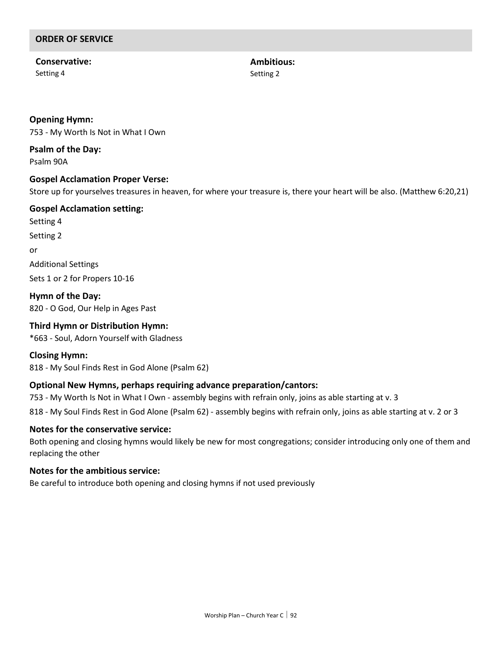**Conservative:** Setting 4

**Ambitious:** Setting 2

#### **Opening Hymn:**

753 - My Worth Is Not in What I Own

**Psalm of the Day:** Psalm 90A

#### **Gospel Acclamation Proper Verse:**

Store up for yourselves treasures in heaven, for where your treasure is, there your heart will be also. (Matthew 6:20,21)

### **Gospel Acclamation setting:**

Setting 4 Setting 2 or Additional Settings Sets 1 or 2 for Propers 10-16

**Hymn of the Day:** 820 - O God, Our Help in Ages Past

#### **Third Hymn or Distribution Hymn:**

\*663 - Soul, Adorn Yourself with Gladness

#### **Closing Hymn:**

818 - My Soul Finds Rest in God Alone (Psalm 62)

#### **Optional New Hymns, perhaps requiring advance preparation/cantors:**

753 - My Worth Is Not in What I Own - assembly begins with refrain only, joins as able starting at v. 3

818 - My Soul Finds Rest in God Alone (Psalm 62) - assembly begins with refrain only, joins as able starting at v. 2 or 3

#### **Notes for the conservative service:**

Both opening and closing hymns would likely be new for most congregations; consider introducing only one of them and replacing the other

#### **Notes for the ambitious service:**

Be careful to introduce both opening and closing hymns if not used previously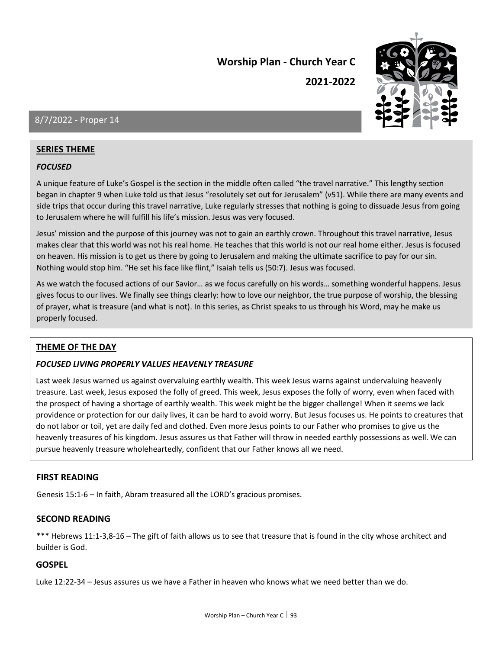**2021-2022**



### 8/7/2022 - Proper 14

#### **SERIES THEME**

#### *FOCUSED*

A unique feature of Luke's Gospel is the section in the middle often called "the travel narrative." This lengthy section began in chapter 9 when Luke told us that Jesus "resolutely set out for Jerusalem" (v51). While there are many events and side trips that occur during this travel narrative, Luke regularly stresses that nothing is going to dissuade Jesus from going to Jerusalem where he will fulfill his life's mission. Jesus was very focused.

Jesus' mission and the purpose of this journey was not to gain an earthly crown. Throughout this travel narrative, Jesus makes clear that this world was not his real home. He teaches that this world is not our real home either. Jesus is focused on heaven. His mission is to get us there by going to Jerusalem and making the ultimate sacrifice to pay for our sin. Nothing would stop him. "He set his face like flint," Isaiah tells us (50:7). Jesus was focused.

As we watch the focused actions of our Savior… as we focus carefully on his words… something wonderful happens. Jesus gives focus to our lives. We finally see things clearly: how to love our neighbor, the true purpose of worship, the blessing of prayer, what is treasure (and what is not). In this series, as Christ speaks to us through his Word, may he make us properly focused.

#### **THEME OF THE DAY**

#### *FOCUSED LIVING PROPERLY VALUES HEAVENLY TREASURE*

Last week Jesus warned us against overvaluing earthly wealth. This week Jesus warns against undervaluing heavenly treasure. Last week, Jesus exposed the folly of greed. This week, Jesus exposes the folly of worry, even when faced with the prospect of having a shortage of earthly wealth. This week might be the bigger challenge! When it seems we lack providence or protection for our daily lives, it can be hard to avoid worry. But Jesus focuses us. He points to creatures that do not labor or toil, yet are daily fed and clothed. Even more Jesus points to our Father who promises to give us the heavenly treasures of his kingdom. Jesus assures us that Father will throw in needed earthly possessions as well. We can pursue heavenly treasure wholeheartedly, confident that our Father knows all we need.

#### **FIRST READING**

Genesis 15:1-6 – In faith, Abram treasured all the LORD's gracious promises.

#### **SECOND READING**

\*\*\* Hebrews 11:1-3,8-16 – The gift of faith allows us to see that treasure that is found in the city whose architect and builder is God.

#### **GOSPEL**

Luke 12:22-34 – Jesus assures us we have a Father in heaven who knows what we need better than we do.